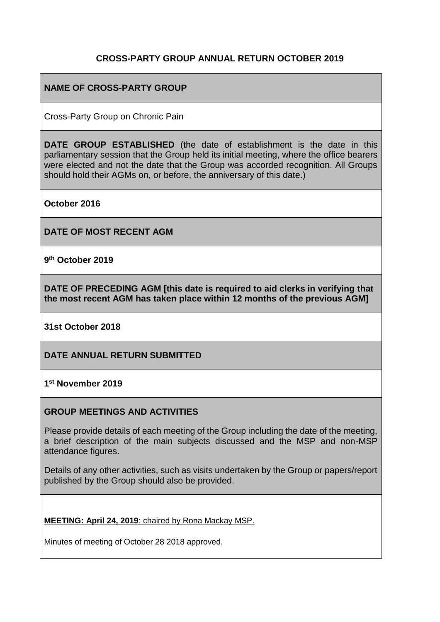# **CROSS-PARTY GROUP ANNUAL RETURN OCTOBER 2019**

# **NAME OF CROSS-PARTY GROUP**

Cross-Party Group on Chronic Pain

**DATE GROUP ESTABLISHED** (the date of establishment is the date in this parliamentary session that the Group held its initial meeting, where the office bearers were elected and not the date that the Group was accorded recognition. All Groups should hold their AGMs on, or before, the anniversary of this date.)

**October 2016**

**DATE OF MOST RECENT AGM**

**9 th October 2019**

**DATE OF PRECEDING AGM [this date is required to aid clerks in verifying that the most recent AGM has taken place within 12 months of the previous AGM]**

**31st October 2018**

**DATE ANNUAL RETURN SUBMITTED**

**1 st November 2019**

#### **GROUP MEETINGS AND ACTIVITIES**

Please provide details of each meeting of the Group including the date of the meeting, a brief description of the main subjects discussed and the MSP and non-MSP attendance figures.

Details of any other activities, such as visits undertaken by the Group or papers/report published by the Group should also be provided.

**MEETING: April 24, 2019**: chaired by Rona Mackay MSP.

Minutes of meeting of October 28 2018 approved.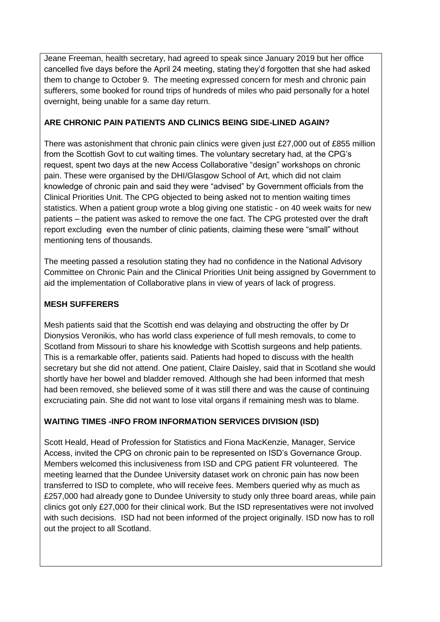Jeane Freeman, health secretary, had agreed to speak since January 2019 but her office cancelled five days before the April 24 meeting, stating they'd forgotten that she had asked them to change to October 9. The meeting expressed concern for mesh and chronic pain sufferers, some booked for round trips of hundreds of miles who paid personally for a hotel overnight, being unable for a same day return.

#### **ARE CHRONIC PAIN PATIENTS AND CLINICS BEING SIDE-LINED AGAIN?**

There was astonishment that chronic pain clinics were given just £27,000 out of £855 million from the Scottish Govt to cut waiting times. The voluntary secretary had, at the CPG's request, spent two days at the new Access Collaborative "design" workshops on chronic pain. These were organised by the DHI/Glasgow School of Art, which did not claim knowledge of chronic pain and said they were "advised" by Government officials from the Clinical Priorities Unit. The CPG objected to being asked not to mention waiting times statistics. When a patient group wrote a blog giving one statistic - on 40 week waits for new patients – the patient was asked to remove the one fact. The CPG protested over the draft report excluding even the number of clinic patients, claiming these were "small" without mentioning tens of thousands.

The meeting passed a resolution stating they had no confidence in the National Advisory Committee on Chronic Pain and the Clinical Priorities Unit being assigned by Government to aid the implementation of Collaborative plans in view of years of lack of progress.

#### **MESH SUFFERERS**

Mesh patients said that the Scottish end was delaying and obstructing the offer by Dr Dionysios Veronikis, who has world class experience of full mesh removals, to come to Scotland from Missouri to share his knowledge with Scottish surgeons and help patients. This is a remarkable offer, patients said. Patients had hoped to discuss with the health secretary but she did not attend. One patient, Claire Daisley, said that in Scotland she would shortly have her bowel and bladder removed. Although she had been informed that mesh had been removed, she believed some of it was still there and was the cause of continuing excruciating pain. She did not want to lose vital organs if remaining mesh was to blame.

## **WAITING TIMES -INFO FROM INFORMATION SERVICES DIVISION (ISD)**

Scott Heald, Head of Profession for Statistics and Fiona MacKenzie, Manager, Service Access, invited the CPG on chronic pain to be represented on ISD's Governance Group. Members welcomed this inclusiveness from ISD and CPG patient FR volunteered. The meeting learned that the Dundee University dataset work on chronic pain has now been transferred to ISD to complete, who will receive fees. Members queried why as much as £257,000 had already gone to Dundee University to study only three board areas, while pain clinics got only £27,000 for their clinical work. But the ISD representatives were not involved with such decisions. ISD had not been informed of the project originally. ISD now has to roll out the project to all Scotland.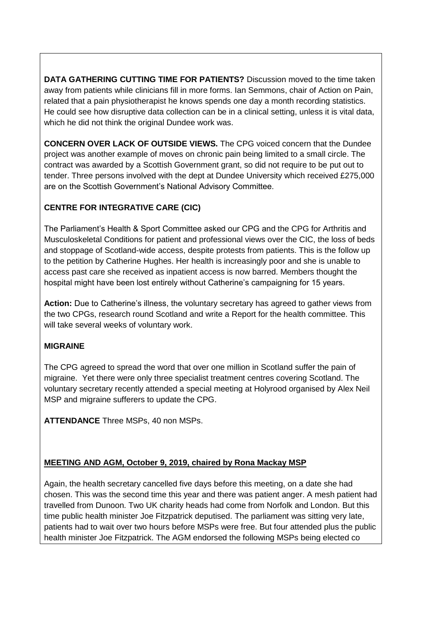**DATA GATHERING CUTTING TIME FOR PATIENTS?** Discussion moved to the time taken away from patients while clinicians fill in more forms. Ian Semmons, chair of Action on Pain, related that a pain physiotherapist he knows spends one day a month recording statistics. He could see how disruptive data collection can be in a clinical setting, unless it is vital data, which he did not think the original Dundee work was.

**CONCERN OVER LACK OF OUTSIDE VIEWS.** The CPG voiced concern that the Dundee project was another example of moves on chronic pain being limited to a small circle. The contract was awarded by a Scottish Government grant, so did not require to be put out to tender. Three persons involved with the dept at Dundee University which received £275,000 are on the Scottish Government's National Advisory Committee.

## **CENTRE FOR INTEGRATIVE CARE (CIC)**

The Parliament's Health & Sport Committee asked our CPG and the CPG for Arthritis and Musculoskeletal Conditions for patient and professional views over the CIC, the loss of beds and stoppage of Scotland-wide access, despite protests from patients. This is the follow up to the petition by Catherine Hughes. Her health is increasingly poor and she is unable to access past care she received as inpatient access is now barred. Members thought the hospital might have been lost entirely without Catherine's campaigning for 15 years.

**Action:** Due to Catherine's illness, the voluntary secretary has agreed to gather views from the two CPGs, research round Scotland and write a Report for the health committee. This will take several weeks of voluntary work.

## **MIGRAINE**

The CPG agreed to spread the word that over one million in Scotland suffer the pain of migraine. Yet there were only three specialist treatment centres covering Scotland. The voluntary secretary recently attended a special meeting at Holyrood organised by Alex Neil MSP and migraine sufferers to update the CPG.

**ATTENDANCE** Three MSPs, 40 non MSPs.

## **MEETING AND AGM, October 9, 2019, chaired by Rona Mackay MSP**

Again, the health secretary cancelled five days before this meeting, on a date she had chosen. This was the second time this year and there was patient anger. A mesh patient had travelled from Dunoon. Two UK charity heads had come from Norfolk and London. But this time public health minister Joe Fitzpatrick deputised. The parliament was sitting very late, patients had to wait over two hours before MSPs were free. But four attended plus the public health minister Joe Fitzpatrick. The AGM endorsed the following MSPs being elected co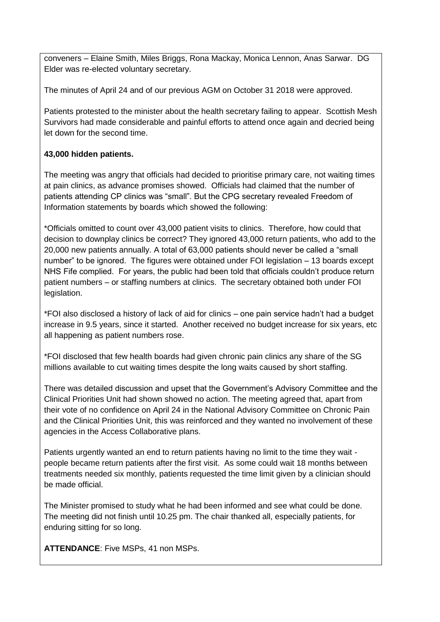conveners – Elaine Smith, Miles Briggs, Rona Mackay, Monica Lennon, Anas Sarwar. DG Elder was re-elected voluntary secretary.

The minutes of April 24 and of our previous AGM on October 31 2018 were approved.

Patients protested to the minister about the health secretary failing to appear. Scottish Mesh Survivors had made considerable and painful efforts to attend once again and decried being let down for the second time.

# **43,000 hidden patients.**

The meeting was angry that officials had decided to prioritise primary care, not waiting times at pain clinics, as advance promises showed. Officials had claimed that the number of patients attending CP clinics was "small". But the CPG secretary revealed Freedom of Information statements by boards which showed the following:

\*Officials omitted to count over 43,000 patient visits to clinics. Therefore, how could that decision to downplay clinics be correct? They ignored 43,000 return patients, who add to the 20,000 new patients annually. A total of 63,000 patients should never be called a "small number" to be ignored. The figures were obtained under FOI legislation – 13 boards except NHS Fife complied. For years, the public had been told that officials couldn't produce return patient numbers – or staffing numbers at clinics. The secretary obtained both under FOI legislation.

\*FOI also disclosed a history of lack of aid for clinics – one pain service hadn't had a budget increase in 9.5 years, since it started. Another received no budget increase for six years, etc all happening as patient numbers rose.

\*FOI disclosed that few health boards had given chronic pain clinics any share of the SG millions available to cut waiting times despite the long waits caused by short staffing.

There was detailed discussion and upset that the Government's Advisory Committee and the Clinical Priorities Unit had shown showed no action. The meeting agreed that, apart from their vote of no confidence on April 24 in the National Advisory Committee on Chronic Pain and the Clinical Priorities Unit, this was reinforced and they wanted no involvement of these agencies in the Access Collaborative plans.

Patients urgently wanted an end to return patients having no limit to the time they wait people became return patients after the first visit. As some could wait 18 months between treatments needed six monthly, patients requested the time limit given by a clinician should be made official.

The Minister promised to study what he had been informed and see what could be done. The meeting did not finish until 10.25 pm. The chair thanked all, especially patients, for enduring sitting for so long.

**ATTENDANCE**: Five MSPs, 41 non MSPs.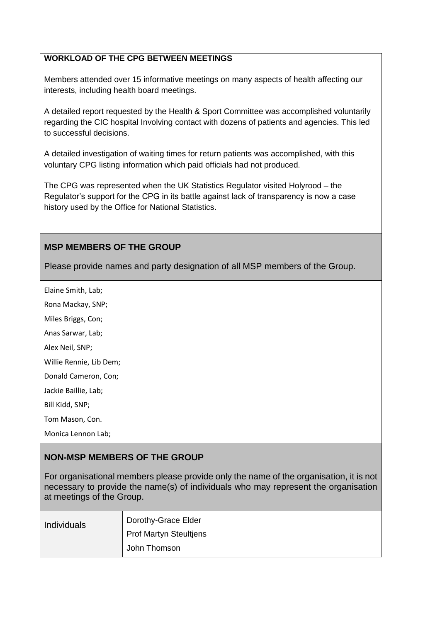#### **WORKLOAD OF THE CPG BETWEEN MEETINGS**

Members attended over 15 informative meetings on many aspects of health affecting our interests, including health board meetings.

A detailed report requested by the Health & Sport Committee was accomplished voluntarily regarding the CIC hospital Involving contact with dozens of patients and agencies. This led to successful decisions.

A detailed investigation of waiting times for return patients was accomplished, with this voluntary CPG listing information which paid officials had not produced.

The CPG was represented when the UK Statistics Regulator visited Holyrood – the Regulator's support for the CPG in its battle against lack of transparency is now a case history used by the Office for National Statistics.

#### **MSP MEMBERS OF THE GROUP**

Please provide names and party designation of all MSP members of the Group.

Elaine Smith, Lab;

Rona Mackay, SNP;

Miles Briggs, Con;

Anas Sarwar, Lab;

Alex Neil, SNP;

Willie Rennie, Lib Dem;

Donald Cameron, Con;

Jackie Baillie, Lab;

Bill Kidd, SNP;

Tom Mason, Con.

Monica Lennon Lab;

## **NON-MSP MEMBERS OF THE GROUP**

For organisational members please provide only the name of the organisation, it is not necessary to provide the name(s) of individuals who may represent the organisation at meetings of the Group.

| <b>Individuals</b> | Dorothy-Grace Elder    |
|--------------------|------------------------|
|                    | Prof Martyn Steultjens |
|                    | John Thomson           |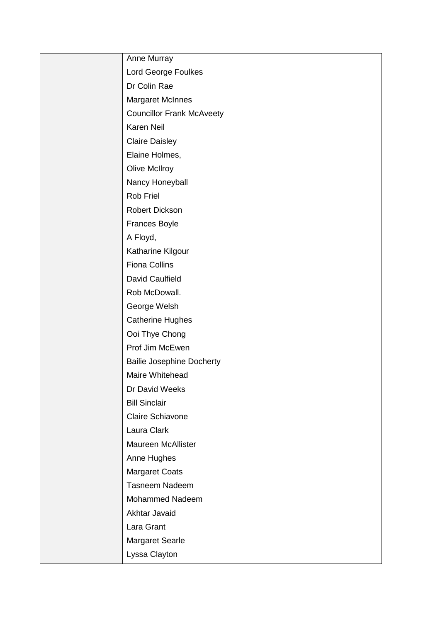| Anne Murray                      |
|----------------------------------|
| Lord George Foulkes              |
| Dr Colin Rae                     |
| <b>Margaret McInnes</b>          |
| <b>Councillor Frank McAveety</b> |
| Karen Neil                       |
| <b>Claire Daisley</b>            |
| Elaine Holmes,                   |
| <b>Olive McIlroy</b>             |
| Nancy Honeyball                  |
| Rob Friel                        |
| <b>Robert Dickson</b>            |
| <b>Frances Boyle</b>             |
| A Floyd,                         |
| Katharine Kilgour                |
| <b>Fiona Collins</b>             |
| David Caulfield                  |
| Rob McDowall.                    |
| George Welsh                     |
| <b>Catherine Hughes</b>          |
| Ooi Thye Chong                   |
| Prof Jim McEwen                  |
| <b>Bailie Josephine Docherty</b> |
| Maire Whitehead                  |
| Dr David Weeks                   |
| <b>Bill Sinclair</b>             |
| Claire Schiavone                 |
| Laura Clark                      |
| <b>Maureen McAllister</b>        |
| Anne Hughes                      |
| <b>Margaret Coats</b>            |
| Tasneem Nadeem                   |
| Mohammed Nadeem                  |
| Akhtar Javaid                    |
| Lara Grant                       |
| <b>Margaret Searle</b>           |
| Lyssa Clayton                    |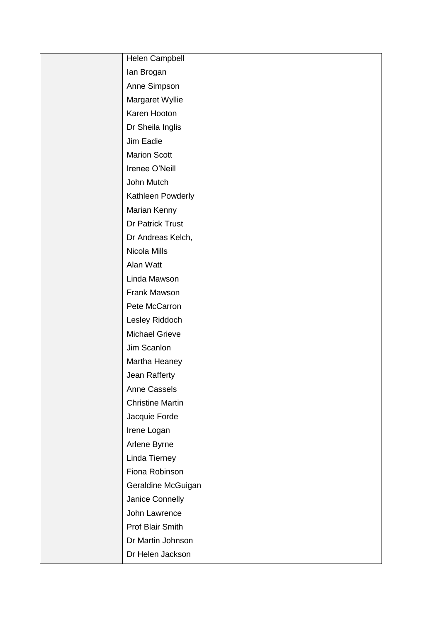| Helen Campbell          |
|-------------------------|
| lan Brogan              |
| Anne Simpson            |
| Margaret Wyllie         |
| Karen Hooton            |
| Dr Sheila Inglis        |
| Jim Eadie               |
| <b>Marion Scott</b>     |
| Irenee O'Neill          |
| John Mutch              |
| Kathleen Powderly       |
| Marian Kenny            |
| Dr Patrick Trust        |
| Dr Andreas Kelch,       |
| Nicola Mills            |
| Alan Watt               |
| Linda Mawson            |
| Frank Mawson            |
| Pete McCarron           |
| Lesley Riddoch          |
| <b>Michael Grieve</b>   |
| Jim Scanlon             |
| Martha Heaney           |
| Jean Rafferty           |
| <b>Anne Cassels</b>     |
| <b>Christine Martin</b> |
| Jacquie Forde           |
| Irene Logan             |
| Arlene Byrne            |
| Linda Tierney           |
| Fiona Robinson          |
| Geraldine McGuigan      |
| Janice Connelly         |
| John Lawrence           |
| Prof Blair Smith        |
| Dr Martin Johnson       |
| Dr Helen Jackson        |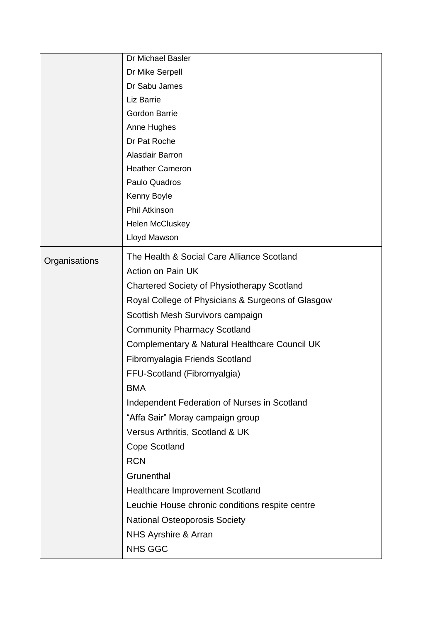|               | Dr Michael Basler                                  |
|---------------|----------------------------------------------------|
|               | Dr Mike Serpell                                    |
|               | Dr Sabu James                                      |
|               | Liz Barrie                                         |
|               | Gordon Barrie                                      |
|               | Anne Hughes                                        |
|               | Dr Pat Roche                                       |
|               | Alasdair Barron                                    |
|               | <b>Heather Cameron</b>                             |
|               | Paulo Quadros                                      |
|               | Kenny Boyle                                        |
|               | <b>Phil Atkinson</b>                               |
|               | <b>Helen McCluskey</b>                             |
|               | Lloyd Mawson                                       |
| Organisations | The Health & Social Care Alliance Scotland         |
|               | Action on Pain UK                                  |
|               | <b>Chartered Society of Physiotherapy Scotland</b> |
|               | Royal College of Physicians & Surgeons of Glasgow  |
|               | Scottish Mesh Survivors campaign                   |
|               | <b>Community Pharmacy Scotland</b>                 |
|               | Complementary & Natural Healthcare Council UK      |
|               | Fibromyalagia Friends Scotland                     |
|               | FFU-Scotland (Fibromyalgia)                        |
|               | <b>BMA</b>                                         |
|               | Independent Federation of Nurses in Scotland       |
|               | "Affa Sair" Moray campaign group                   |
|               | Versus Arthritis, Scotland & UK                    |
|               | Cope Scotland                                      |
|               | <b>RCN</b>                                         |
|               | Grunenthal                                         |
|               | Healthcare Improvement Scotland                    |
|               | Leuchie House chronic conditions respite centre    |
|               | <b>National Osteoporosis Society</b>               |
|               | NHS Ayrshire & Arran                               |
|               |                                                    |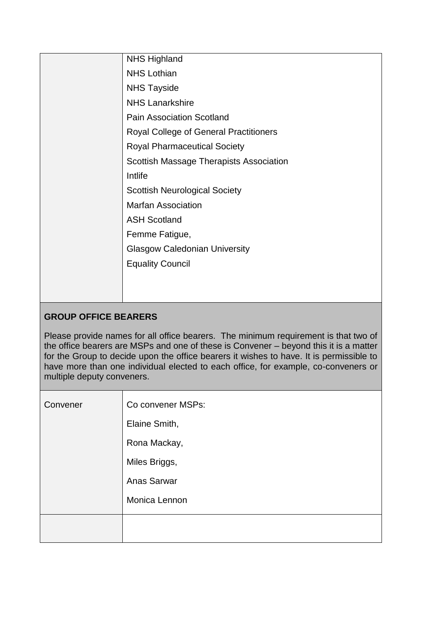|  | <b>NHS Highland</b>                           |
|--|-----------------------------------------------|
|  | <b>NHS Lothian</b>                            |
|  | <b>NHS Tayside</b>                            |
|  | <b>NHS Lanarkshire</b>                        |
|  | <b>Pain Association Scotland</b>              |
|  | <b>Royal College of General Practitioners</b> |
|  | <b>Royal Pharmaceutical Society</b>           |
|  | Scottish Massage Therapists Association       |
|  | Intlife                                       |
|  | <b>Scottish Neurological Society</b>          |
|  | <b>Marfan Association</b>                     |
|  | <b>ASH Scotland</b>                           |
|  | Femme Fatigue,                                |
|  | <b>Glasgow Caledonian University</b>          |
|  | <b>Equality Council</b>                       |
|  |                                               |
|  |                                               |
|  |                                               |

# **GROUP OFFICE BEARERS**

Please provide names for all office bearers. The minimum requirement is that two of the office bearers are MSPs and one of these is Convener – beyond this it is a matter for the Group to decide upon the office bearers it wishes to have. It is permissible to have more than one individual elected to each office, for example, co-conveners or multiple deputy conveners.